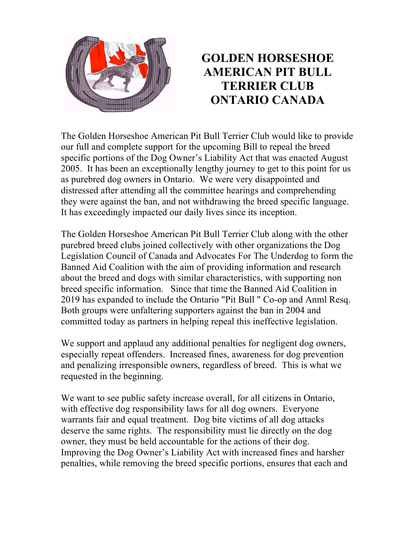

## **GOLDEN HORSESHOE AMERICAN PIT BULL TERRIER CLUB ONTARIO CANADA**

The Golden Horseshoe American Pit Bull Terrier Club would like to provide our full and complete support for the upcoming Bill to repeal the breed specific portions of the Dog Owner's Liability Act that was enacted August 2005. It has been an exceptionally lengthy journey to get to this point for us as purebred dog owners in Ontario. We were very disappointed and distressed after attending all the committee hearings and comprehending they were against the ban, and not withdrawing the breed specific language. It has exceedingly impacted our daily lives since its inception.

The Golden Horseshoe American Pit Bull Terrier Club along with the other purebred breed clubs joined collectively with other organizations the Dog Legislation Council of Canada and Advocates For The Underdog to form the Banned Aid Coalition with the aim of providing information and research about the breed and dogs with similar characteristics, with supporting non breed specific information. Since that time the Banned Aid Coalition in 2019 has expanded to include the Ontario "Pit Bull " Co-op and Anml Resq. Both groups were unfaltering supporters against the ban in 2004 and committed today as partners in helping repeal this ineffective legislation.

We support and applaud any additional penalties for negligent dog owners, especially repeat offenders. Increased fines, awareness for dog prevention and penalizing irresponsible owners, regardless of breed. This is what we requested in the beginning.

We want to see public safety increase overall, for all citizens in Ontario, with effective dog responsibility laws for all dog owners. Everyone warrants fair and equal treatment. Dog bite victims of all dog attacks deserve the same rights. The responsibility must lie directly on the dog owner, they must be held accountable for the actions of their dog. Improving the Dog Owner's Liability Act with increased fines and harsher penalties, while removing the breed specific portions, ensures that each and